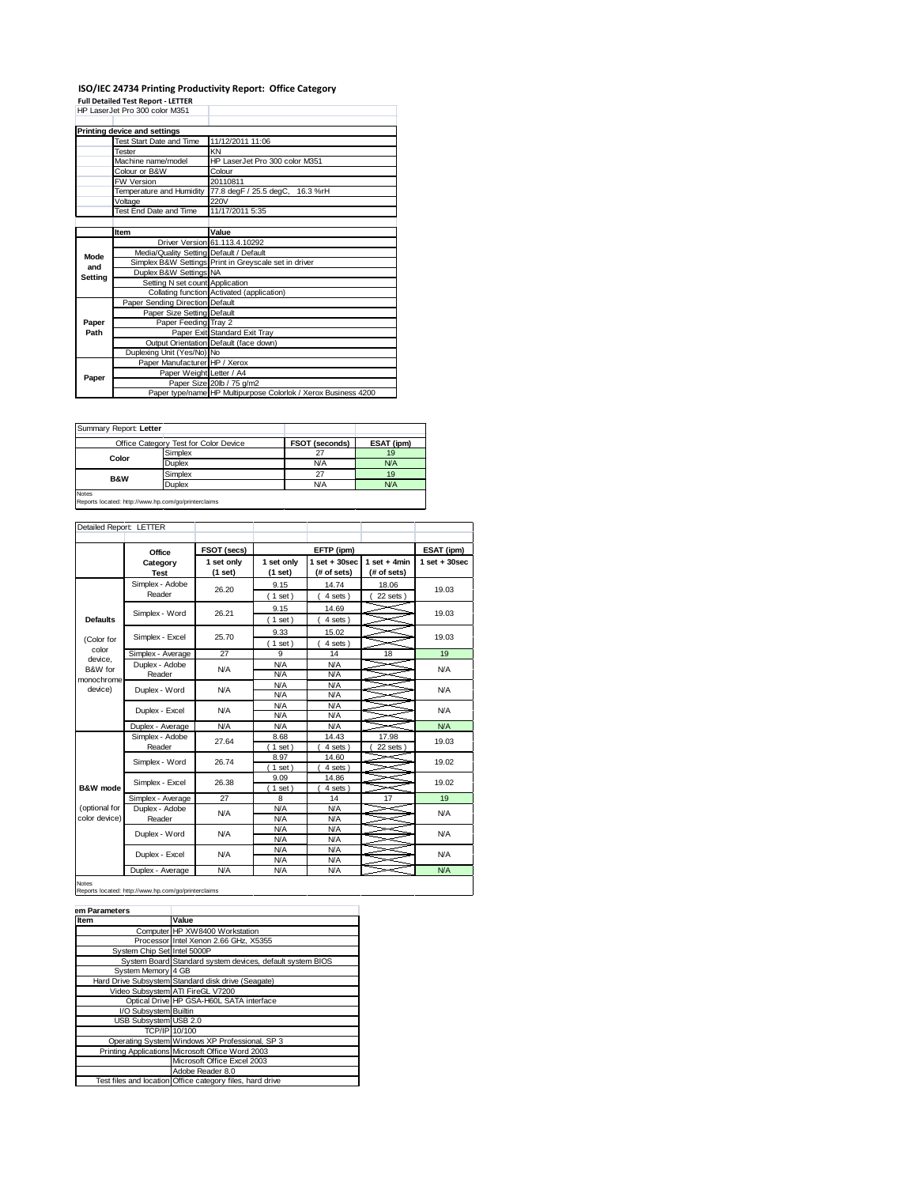## **ISO/IEC 24734 Printing Productivity Report: Office Category Full Detailed Test Report - LETTER** HP LaserJet Pro 300 color M351

|         | Printing device and settings            |                                                                |  |  |  |  |
|---------|-----------------------------------------|----------------------------------------------------------------|--|--|--|--|
|         | Test Start Date and Time                | 11/12/2011 11:06                                               |  |  |  |  |
|         | Tester                                  | KN                                                             |  |  |  |  |
|         | Machine name/model                      | HP LaserJet Pro 300 color M351                                 |  |  |  |  |
|         | Colour or B&W                           | Colour                                                         |  |  |  |  |
|         | <b>FW Version</b>                       | 20110811                                                       |  |  |  |  |
|         | Temperature and Humidity                | 77.8 degF / 25.5 degC,<br>16.3 %rH                             |  |  |  |  |
|         | Voltage                                 | 220V                                                           |  |  |  |  |
|         | Test End Date and Time                  | 11/17/2011 5:35                                                |  |  |  |  |
|         |                                         |                                                                |  |  |  |  |
|         | Item                                    | Value                                                          |  |  |  |  |
|         |                                         | Driver Version 61.113.4.10292                                  |  |  |  |  |
| Mode    | Media/Quality Setting Default / Default |                                                                |  |  |  |  |
| and     |                                         | Simplex B&W_Settings Print in Greyscale set in driver          |  |  |  |  |
| Setting | Duplex B&W Settings NA                  |                                                                |  |  |  |  |
|         | Setting N set count Application         |                                                                |  |  |  |  |
|         |                                         | Collating function Activated (application)                     |  |  |  |  |
|         | Paper Sending Direction Default         |                                                                |  |  |  |  |
|         | Paper Size Setting Default              |                                                                |  |  |  |  |
| Paper   | Paper Feeding Tray 2                    |                                                                |  |  |  |  |
| Path    |                                         | Paper Exit Standard Exit Tray                                  |  |  |  |  |
|         |                                         | Output Orientation Default (face down)                         |  |  |  |  |
|         | Duplexing Unit (Yes/No) No              |                                                                |  |  |  |  |
|         | Paper Manufacturer HP / Xerox           |                                                                |  |  |  |  |
| Paper   | Paper Weight Letter / A4                |                                                                |  |  |  |  |
|         |                                         | Paper Size 20lb / 75 g/m2                                      |  |  |  |  |
|         |                                         | Paper type/name HP Multipurpose Colorlok / Xerox Business 4200 |  |  |  |  |

| Summary Report: Letter                                              |                                       |                |            |
|---------------------------------------------------------------------|---------------------------------------|----------------|------------|
|                                                                     | Office Category Test for Color Device | FSOT (seconds) | ESAT (ipm) |
| Color                                                               | Simplex                               | 27             | 19         |
|                                                                     | <b>Duplex</b>                         | <b>N/A</b>     | N/A        |
| <b>B&amp;W</b>                                                      | Simplex                               | 27             | 19         |
|                                                                     | Duplex                                | <b>N/A</b>     | N/A        |
| <b>Notes</b><br>Reports located: http://www.hp.com/go/printerclaims |                                       |                |            |

| Detailed Report: LETTER        |                           |                       |                       |                                  |                               |                   |
|--------------------------------|---------------------------|-----------------------|-----------------------|----------------------------------|-------------------------------|-------------------|
|                                | Office                    | FSOT (secs)           |                       | EFTP (ipm)                       |                               | ESAT (ipm)        |
|                                | Category<br><b>Test</b>   | 1 set only<br>(1 set) | 1 set only<br>(1 set) | $1$ set $+30$ sec<br>(# of sets) | $1$ set + 4min<br>(# of sets) | $1$ set $+30$ sec |
|                                | Simplex - Adobe<br>Reader | 26.20                 | 9.15<br>(1 set)       | 14.74<br>4 sets)                 | 18.06<br>22 sets)             | 19.03             |
| <b>Defaults</b>                | Simplex - Word            | 26.21                 | 9.15<br>(1 set)       | 14.69<br>4 sets)                 |                               | 19.03             |
| (Color for                     | Simplex - Excel           | 25.70                 | 9.33<br>(1 set)       | 15.02<br>4 sets)                 |                               | 19.03             |
| color                          | Simplex - Average         | 27                    | 9                     | 14                               | 18                            | 19                |
| device.<br>B&W for             | Duplex - Adobe<br>Reader  | <b>N/A</b>            | N/A<br>N/A            | <b>N/A</b><br><b>N/A</b>         |                               | <b>N/A</b>        |
| monochrome<br>device)          | Duplex - Word             | <b>N/A</b>            | N/A<br>N/A            | <b>N/A</b><br><b>N/A</b>         |                               | N/A               |
|                                | Duplex - Excel            | <b>N/A</b>            | N/A<br>N/A            | <b>N/A</b><br><b>N/A</b>         |                               | N/A               |
|                                | Duplex - Average          | N/A                   | N/A                   | <b>N/A</b>                       |                               | N/A               |
|                                | Simplex - Adobe<br>Reader | 27.64                 | 8.68<br>$1$ set)      | 14.43<br>4 sets )                | 17.98<br>22 sets              | 19.03             |
|                                | Simplex - Word            | 26.74                 | 8.97<br>$1$ set)      | 14.60<br>4 sets)                 |                               | 19.02             |
| B&W mode                       | Simplex - Excel           | 26.38                 | 9.09<br>$1$ set)      | 14.86<br>4 sets                  |                               | 19.02             |
|                                | Simplex - Average         | 27                    | 8                     | 14                               | 17                            | 19                |
| (optional for<br>color device) | Duplex - Adobe<br>Reader  | <b>N/A</b>            | N/A<br>N/A            | <b>N/A</b><br><b>N/A</b>         |                               | N/A               |
|                                | Duplex - Word             | <b>N/A</b>            | <b>N/A</b><br>N/A     | <b>N/A</b><br><b>N/A</b>         |                               | N/A               |
|                                | Duplex - Excel            | <b>N/A</b>            | <b>N/A</b><br>N/A     | <b>N/A</b><br><b>N/A</b>         |                               | N/A               |
|                                | Duplex - Average          | <b>N/A</b>            | N/A                   | <b>N/A</b>                       |                               | N/A               |

Notes Reports located: http://www.hp.com/go/printerclaims

| <b>Item</b>                 | Value                                                     |
|-----------------------------|-----------------------------------------------------------|
|                             | Computer HP XW8400 Workstation                            |
|                             | Processor Intel Xenon 2.66 GHz, X5355                     |
| System Chip Set Intel 5000P |                                                           |
|                             | System Board Standard system devices, default system BIOS |
| System Memory 4 GB          |                                                           |
|                             | Hard Drive Subsystem Standard disk drive (Seagate)        |
|                             | Video Subsystem ATI FireGL V7200                          |
|                             | Optical Drive HP GSA-H60L SATA interface                  |
| I/O Subsystem Builtin       |                                                           |
| USB Subsystem USB 2.0       |                                                           |
|                             | TCP/IP 10/100                                             |
|                             | Operating System Windows XP Professional, SP 3            |
|                             | Printing Applications Microsoft Office Word 2003          |
|                             | Microsoft Office Excel 2003                               |
|                             | Adobe Reader 8.0                                          |
|                             | Test files and location Office category files, hard drive |